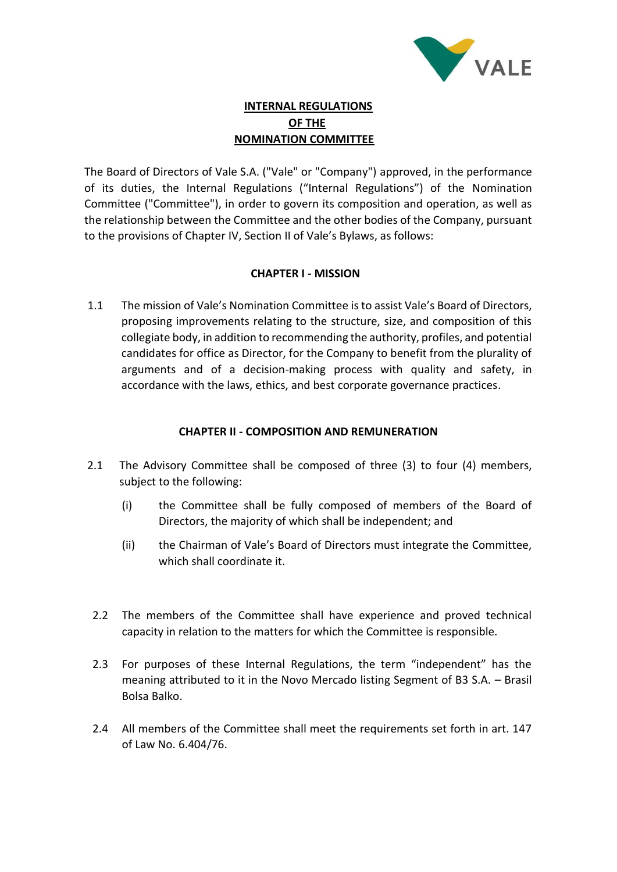

# **INTERNAL REGULATIONS OF THE NOMINATION COMMITTEE**

The Board of Directors of Vale S.A. ("Vale" or "Company") approved, in the performance of its duties, the Internal Regulations ("Internal Regulations") of the Nomination Committee ("Committee"), in order to govern its composition and operation, as well as the relationship between the Committee and the other bodies of the Company, pursuant to the provisions of Chapter IV, Section II of Vale's Bylaws, as follows:

# **CHAPTER I - MISSION**

1.1 The mission of Vale's Nomination Committee is to assist Vale's Board of Directors, proposing improvements relating to the structure, size, and composition of this collegiate body, in addition to recommending the authority, profiles, and potential candidates for office as Director, for the Company to benefit from the plurality of arguments and of a decision-making process with quality and safety, in accordance with the laws, ethics, and best corporate governance practices.

#### **CHAPTER II - COMPOSITION AND REMUNERATION**

- 2.1 The Advisory Committee shall be composed of three (3) to four (4) members, subject to the following:
	- (i) the Committee shall be fully composed of members of the Board of Directors, the majority of which shall be independent; and
	- (ii) the Chairman of Vale's Board of Directors must integrate the Committee, which shall coordinate it.
	- 2.2 The members of the Committee shall have experience and proved technical capacity in relation to the matters for which the Committee is responsible.
	- 2.3 For purposes of these Internal Regulations, the term "independent" has the meaning attributed to it in the Novo Mercado listing Segment of B3 S.A. – Brasil Bolsa Balko.
- 2.4 All members of the Committee shall meet the requirements set forth in art. 147 of Law No. 6.404/76.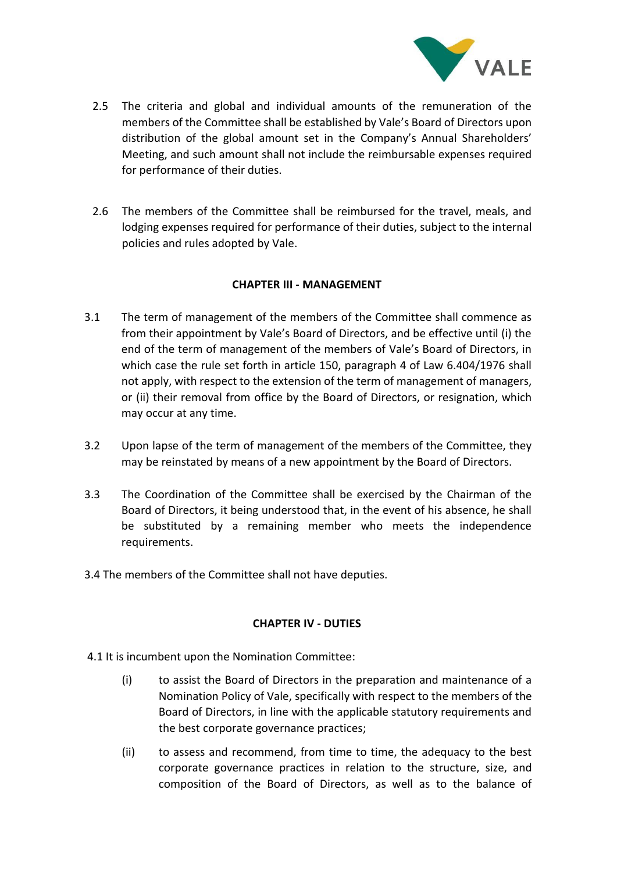

- 2.5 The criteria and global and individual amounts of the remuneration of the members of the Committee shall be established by Vale's Board of Directors upon distribution of the global amount set in the Company's Annual Shareholders' Meeting, and such amount shall not include the reimbursable expenses required for performance of their duties.
- 2.6 The members of the Committee shall be reimbursed for the travel, meals, and lodging expenses required for performance of their duties, subject to the internal policies and rules adopted by Vale.

# **CHAPTER III - MANAGEMENT**

- 3.1 The term of management of the members of the Committee shall commence as from their appointment by Vale's Board of Directors, and be effective until (i) the end of the term of management of the members of Vale's Board of Directors, in which case the rule set forth in article 150, paragraph 4 of Law 6.404/1976 shall not apply, with respect to the extension of the term of management of managers, or (ii) their removal from office by the Board of Directors, or resignation, which may occur at any time.
- 3.2 Upon lapse of the term of management of the members of the Committee, they may be reinstated by means of a new appointment by the Board of Directors.
- 3.3 The Coordination of the Committee shall be exercised by the Chairman of the Board of Directors, it being understood that, in the event of his absence, he shall be substituted by a remaining member who meets the independence requirements.
- 3.4 The members of the Committee shall not have deputies.

#### **CHAPTER IV - DUTIES**

- 4.1 It is incumbent upon the Nomination Committee:
	- (i) to assist the Board of Directors in the preparation and maintenance of a Nomination Policy of Vale, specifically with respect to the members of the Board of Directors, in line with the applicable statutory requirements and the best corporate governance practices;
	- (ii) to assess and recommend, from time to time, the adequacy to the best corporate governance practices in relation to the structure, size, and composition of the Board of Directors, as well as to the balance of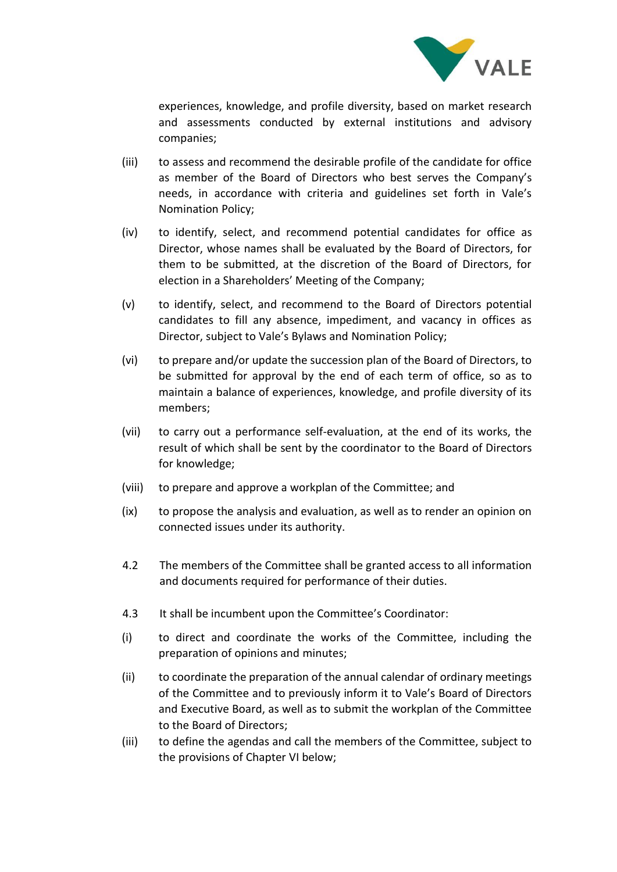

experiences, knowledge, and profile diversity, based on market research and assessments conducted by external institutions and advisory companies;

- (iii) to assess and recommend the desirable profile of the candidate for office as member of the Board of Directors who best serves the Company's needs, in accordance with criteria and guidelines set forth in Vale's Nomination Policy;
- (iv) to identify, select, and recommend potential candidates for office as Director, whose names shall be evaluated by the Board of Directors, for them to be submitted, at the discretion of the Board of Directors, for election in a Shareholders' Meeting of the Company;
- (v) to identify, select, and recommend to the Board of Directors potential candidates to fill any absence, impediment, and vacancy in offices as Director, subject to Vale's Bylaws and Nomination Policy;
- (vi) to prepare and/or update the succession plan of the Board of Directors, to be submitted for approval by the end of each term of office, so as to maintain a balance of experiences, knowledge, and profile diversity of its members;
- (vii) to carry out a performance self-evaluation, at the end of its works, the result of which shall be sent by the coordinator to the Board of Directors for knowledge;
- (viii) to prepare and approve a workplan of the Committee; and
- (ix) to propose the analysis and evaluation, as well as to render an opinion on connected issues under its authority.
- 4.2 The members of the Committee shall be granted access to all information and documents required for performance of their duties.
- 4.3 It shall be incumbent upon the Committee's Coordinator:
- (i) to direct and coordinate the works of the Committee, including the preparation of opinions and minutes;
- (ii) to coordinate the preparation of the annual calendar of ordinary meetings of the Committee and to previously inform it to Vale's Board of Directors and Executive Board, as well as to submit the workplan of the Committee to the Board of Directors;
- (iii) to define the agendas and call the members of the Committee, subject to the provisions of Chapter VI below;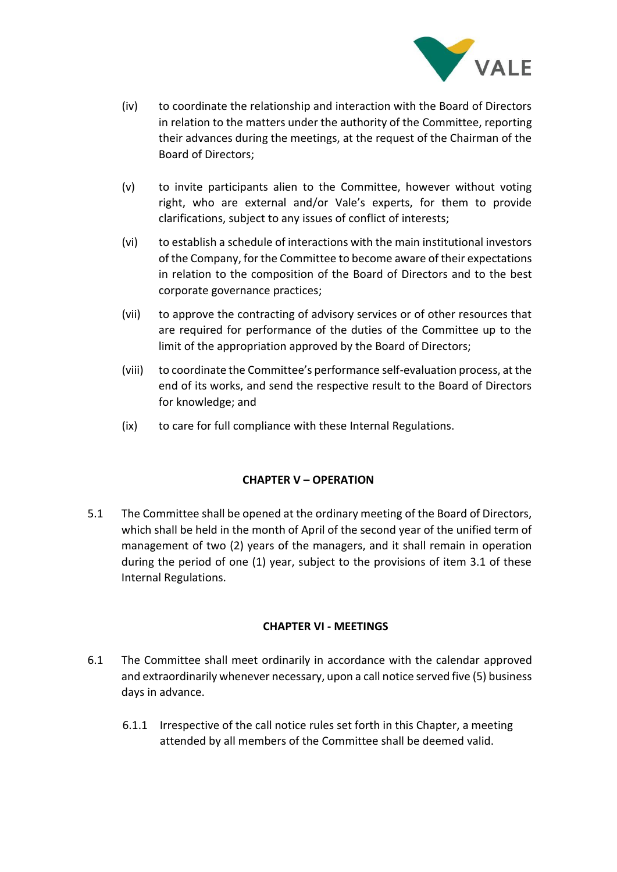

- (iv) to coordinate the relationship and interaction with the Board of Directors in relation to the matters under the authority of the Committee, reporting their advances during the meetings, at the request of the Chairman of the Board of Directors;
- (v) to invite participants alien to the Committee, however without voting right, who are external and/or Vale's experts, for them to provide clarifications, subject to any issues of conflict of interests;
- (vi) to establish a schedule of interactions with the main institutional investors of the Company, for the Committee to become aware of their expectations in relation to the composition of the Board of Directors and to the best corporate governance practices;
- (vii) to approve the contracting of advisory services or of other resources that are required for performance of the duties of the Committee up to the limit of the appropriation approved by the Board of Directors;
- (viii) to coordinate the Committee's performance self-evaluation process, at the end of its works, and send the respective result to the Board of Directors for knowledge; and
- (ix) to care for full compliance with these Internal Regulations.

# **CHAPTER V – OPERATION**

5.1 The Committee shall be opened at the ordinary meeting of the Board of Directors, which shall be held in the month of April of the second year of the unified term of management of two (2) years of the managers, and it shall remain in operation during the period of one (1) year, subject to the provisions of item 3.1 of these Internal Regulations.

# **CHAPTER VI - MEETINGS**

- 6.1 The Committee shall meet ordinarily in accordance with the calendar approved and extraordinarily whenever necessary, upon a call notice served five (5) business days in advance.
	- 6.1.1 Irrespective of the call notice rules set forth in this Chapter, a meeting attended by all members of the Committee shall be deemed valid.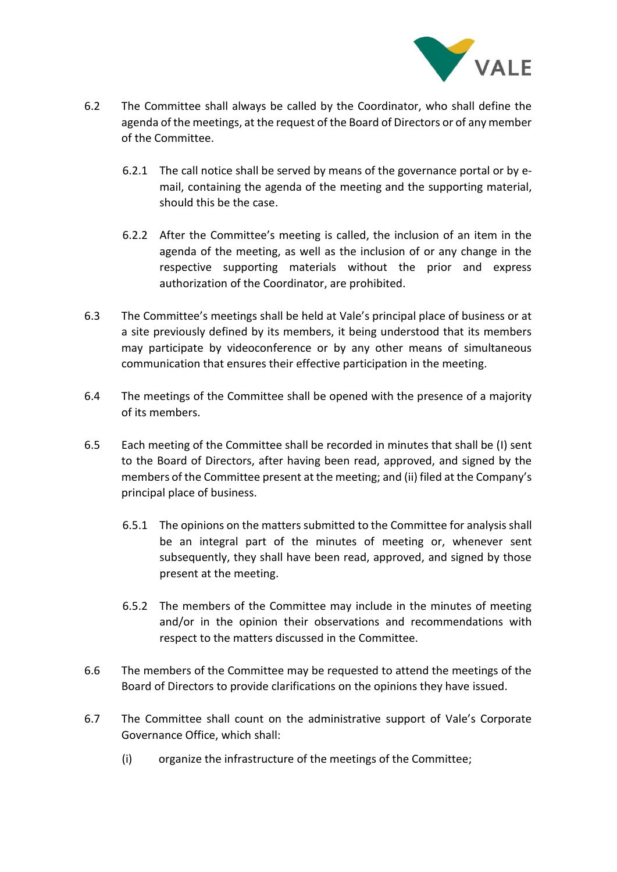

- 6.2 The Committee shall always be called by the Coordinator, who shall define the agenda of the meetings, at the request of the Board of Directors or of any member of the Committee.
	- 6.2.1 The call notice shall be served by means of the governance portal or by email, containing the agenda of the meeting and the supporting material, should this be the case.
	- 6.2.2 After the Committee's meeting is called, the inclusion of an item in the agenda of the meeting, as well as the inclusion of or any change in the respective supporting materials without the prior and express authorization of the Coordinator, are prohibited.
- 6.3 The Committee's meetings shall be held at Vale's principal place of business or at a site previously defined by its members, it being understood that its members may participate by videoconference or by any other means of simultaneous communication that ensures their effective participation in the meeting.
- 6.4 The meetings of the Committee shall be opened with the presence of a majority of its members.
- 6.5 Each meeting of the Committee shall be recorded in minutes that shall be (I) sent to the Board of Directors, after having been read, approved, and signed by the members of the Committee present at the meeting; and (ii) filed at the Company's principal place of business.
	- 6.5.1 The opinions on the matters submitted to the Committee for analysis shall be an integral part of the minutes of meeting or, whenever sent subsequently, they shall have been read, approved, and signed by those present at the meeting.
	- 6.5.2 The members of the Committee may include in the minutes of meeting and/or in the opinion their observations and recommendations with respect to the matters discussed in the Committee.
- 6.6 The members of the Committee may be requested to attend the meetings of the Board of Directors to provide clarifications on the opinions they have issued.
- 6.7 The Committee shall count on the administrative support of Vale's Corporate Governance Office, which shall:
	- (i) organize the infrastructure of the meetings of the Committee;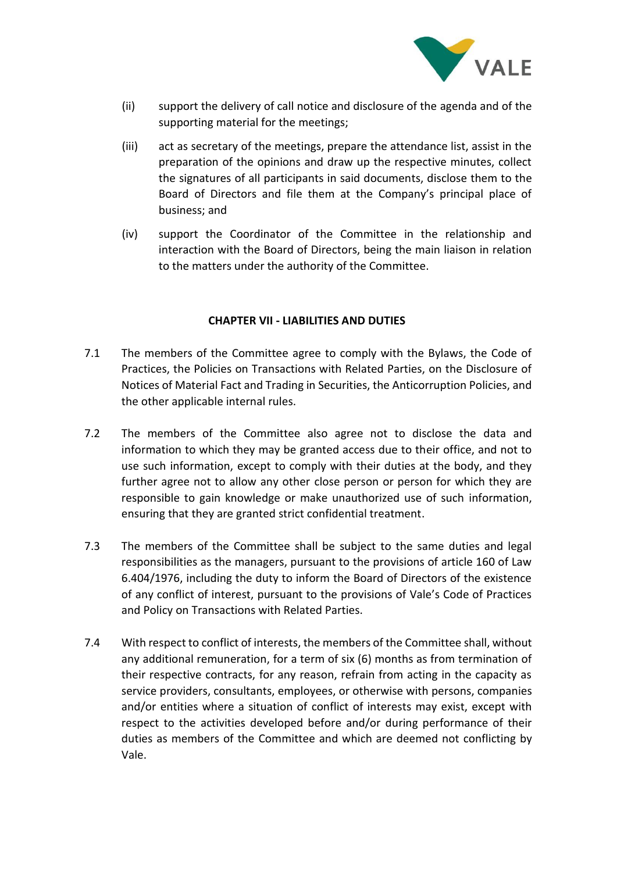

- (ii) support the delivery of call notice and disclosure of the agenda and of the supporting material for the meetings;
- (iii) act as secretary of the meetings, prepare the attendance list, assist in the preparation of the opinions and draw up the respective minutes, collect the signatures of all participants in said documents, disclose them to the Board of Directors and file them at the Company's principal place of business; and
- (iv) support the Coordinator of the Committee in the relationship and interaction with the Board of Directors, being the main liaison in relation to the matters under the authority of the Committee.

#### **CHAPTER VII - LIABILITIES AND DUTIES**

- 7.1 The members of the Committee agree to comply with the Bylaws, the Code of Practices, the Policies on Transactions with Related Parties, on the Disclosure of Notices of Material Fact and Trading in Securities, the Anticorruption Policies, and the other applicable internal rules.
- 7.2 The members of the Committee also agree not to disclose the data and information to which they may be granted access due to their office, and not to use such information, except to comply with their duties at the body, and they further agree not to allow any other close person or person for which they are responsible to gain knowledge or make unauthorized use of such information, ensuring that they are granted strict confidential treatment.
- 7.3 The members of the Committee shall be subject to the same duties and legal responsibilities as the managers, pursuant to the provisions of article 160 of Law 6.404/1976, including the duty to inform the Board of Directors of the existence of any conflict of interest, pursuant to the provisions of Vale's Code of Practices and Policy on Transactions with Related Parties.
- 7.4 With respect to conflict of interests, the members of the Committee shall, without any additional remuneration, for a term of six (6) months as from termination of their respective contracts, for any reason, refrain from acting in the capacity as service providers, consultants, employees, or otherwise with persons, companies and/or entities where a situation of conflict of interests may exist, except with respect to the activities developed before and/or during performance of their duties as members of the Committee and which are deemed not conflicting by Vale.